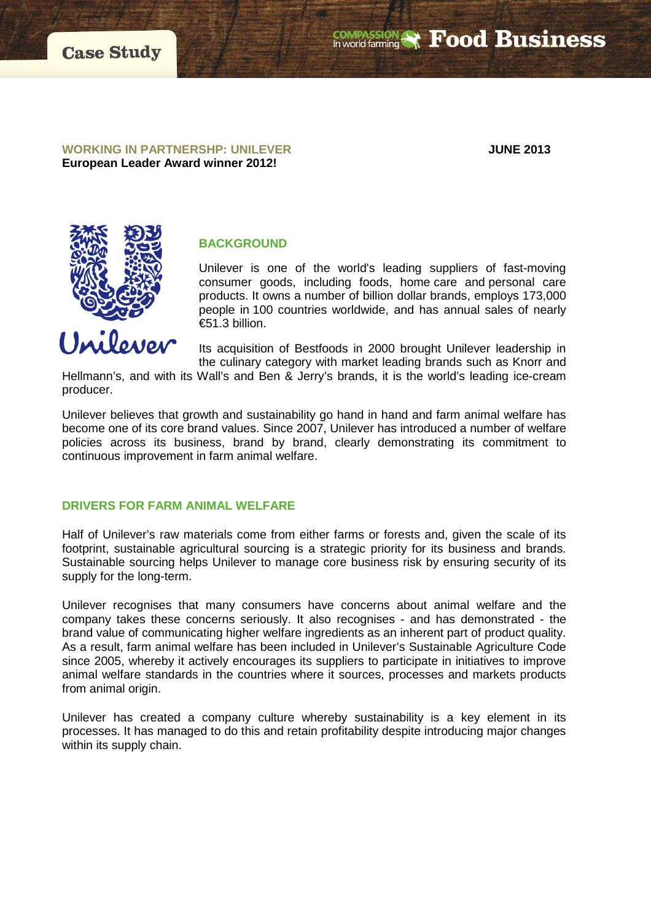**WORKING IN PARTNERSHP: UNILEVER JUNE 2013 European Leader Award winner 2012!**



# **BACKGROUND**

Unilever is one of the world's leading suppliers of fast-moving consumer goods, including foods, home care and personal care products. It owns a number of billion dollar brands, employs 173,000 people in 100 countries worldwide, and has annual sales of nearly €51.3 billion.

Its acquisition of Bestfoods in 2000 brought Unilever leadership in the culinary category with market leading brands such as Knorr and

Hellmann's, and with its Wall's and Ben & Jerry's brands, it is the world's leading ice-cream producer.

Unilever believes that growth and sustainability go hand in hand and farm animal welfare has become one of its core brand values. Since 2007, Unilever has introduced a number of welfare policies across its business, brand by brand, clearly demonstrating its commitment to continuous improvement in farm animal welfare.

## **DRIVERS FOR FARM ANIMAL WELFARE**

Half of Unilever's raw materials come from either farms or forests and, given the scale of its footprint, sustainable agricultural sourcing is a strategic priority for its business and brands. Sustainable sourcing helps Unilever to manage core business risk by ensuring security of its supply for the long-term.

Unilever recognises that many consumers have concerns about animal welfare and the company takes these concerns seriously. It also recognises - and has demonstrated - the brand value of communicating higher welfare ingredients as an inherent part of product quality. As a result, farm animal welfare has been included in Unilever's Sustainable Agriculture Code since 2005, whereby it actively encourages its suppliers to participate in initiatives to improve animal welfare standards in the countries where it sources, processes and markets products from animal origin.

Unilever has created a company culture whereby sustainability is a key element in its processes. It has managed to do this and retain profitability despite introducing major changes within its supply chain.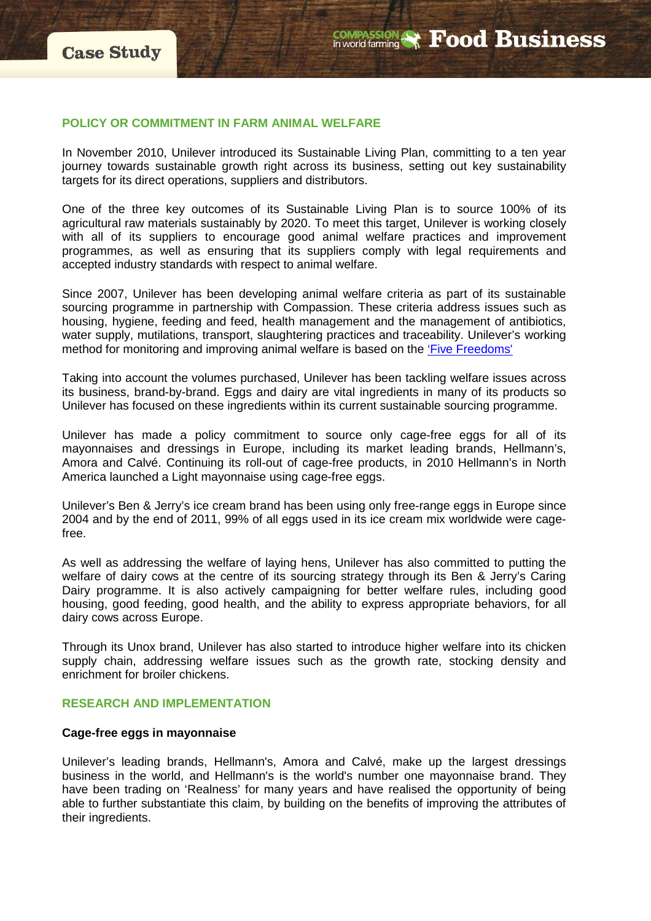#### **POLICY OR COMMITMENT IN FARM ANIMAL WELFARE**

In November 2010, Unilever introduced its Sustainable Living Plan, committing to a ten year journey towards sustainable growth right across its business, setting out key sustainability targets for its direct operations, suppliers and distributors.

One of the three key outcomes of its Sustainable Living Plan is to source 100% of its agricultural raw materials sustainably by 2020. To meet this target, Unilever is working closely with all of its suppliers to encourage good animal welfare practices and improvement programmes, as well as ensuring that its suppliers comply with legal requirements and accepted industry standards with respect to animal welfare.

Since 2007, Unilever has been developing animal welfare criteria as part of its sustainable sourcing programme in partnership with Compassion. These criteria address issues such as housing, hygiene, feeding and feed, health management and the management of antibiotics, water supply, mutilations, transport, slaughtering practices and traceability. Unilever's working method for monitoring and improving animal welfare is based on the ['Five Freedoms'](http://www.compassioninfoodbusiness.com/wp-content/uploads/2012/12/What_is_Welfare_InfoSheet_FINAL.pdf)

Taking into account the volumes purchased, Unilever has been tackling welfare issues across its business, brand-by-brand. Eggs and dairy are vital ingredients in many of its products so Unilever has focused on these ingredients within its current sustainable sourcing programme.

Unilever has made a policy commitment to source only cage-free eggs for all of its mayonnaises and dressings in Europe, including its market leading brands, Hellmann's, Amora and Calvé. Continuing its roll-out of cage-free products, in 2010 Hellmann's in North America launched a Light mayonnaise using cage-free eggs.

Unilever's Ben & Jerry's ice cream brand has been using only free-range eggs in Europe since 2004 and by the end of 2011, 99% of all eggs used in its ice cream mix worldwide were cagefree.

As well as addressing the welfare of laying hens, Unilever has also committed to putting the welfare of dairy cows at the centre of its sourcing strategy through its Ben & Jerry's Caring Dairy programme. It is also actively campaigning for better welfare rules, including good housing, good feeding, good health, and the ability to express appropriate behaviors, for all dairy cows across Europe.

Through its Unox brand, Unilever has also started to introduce higher welfare into its chicken supply chain, addressing welfare issues such as the growth rate, stocking density and enrichment for broiler chickens.

#### **RESEARCH AND IMPLEMENTATION**

#### **Cage-free eggs in mayonnaise**

Unilever's leading brands, Hellmann's, Amora and Calvé, make up the largest dressings business in the world, and Hellmann's is the world's number one mayonnaise brand. They have been trading on 'Realness' for many years and have realised the opportunity of being able to further substantiate this claim, by building on the benefits of improving the attributes of their ingredients.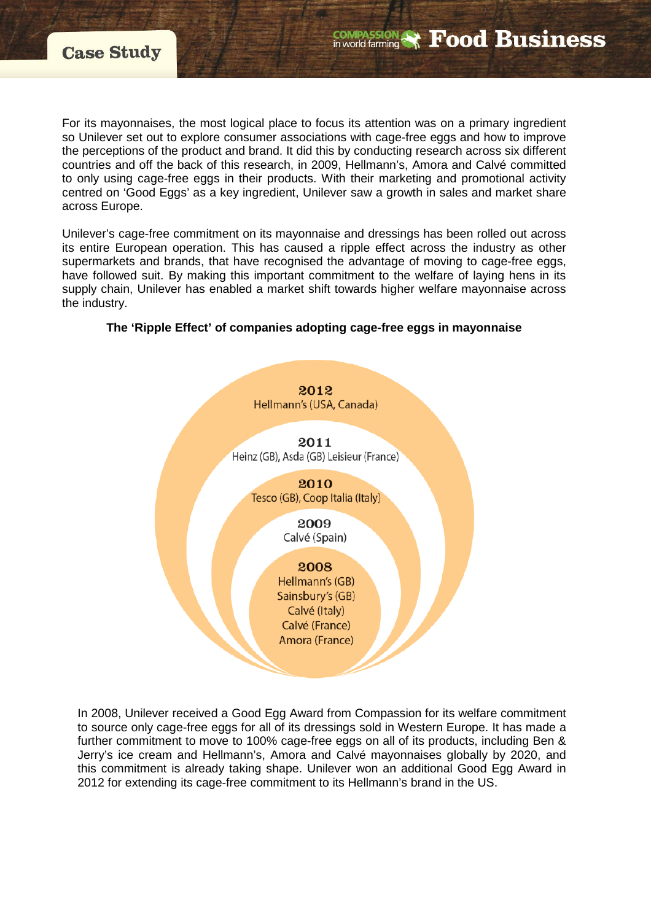For its mayonnaises, the most logical place to focus its attention was on a primary ingredient so Unilever set out to explore consumer associations with cage-free eggs and how to improve the perceptions of the product and brand. It did this by conducting research across six different countries and off the back of this research, in 2009, Hellmann's, Amora and Calvé committed to only using cage-free eggs in their products. With their marketing and promotional activity centred on 'Good Eggs' as a key ingredient, Unilever saw a growth in sales and market share across Europe.

**COMPASSION** 

**Food Business** 

Unilever's cage-free commitment on its mayonnaise and dressings has been rolled out across its entire European operation. This has caused a ripple effect across the industry as other supermarkets and brands, that have recognised the advantage of moving to cage-free eggs, have followed suit. By making this important commitment to the welfare of laying hens in its supply chain, Unilever has enabled a market shift towards higher welfare mayonnaise across the industry.

# **The 'Ripple Effect' of companies adopting cage-free eggs in mayonnaise**



In 2008, Unilever received a Good Egg Award from Compassion for its welfare commitment to source only cage-free eggs for all of its dressings sold in Western Europe. It has made a further commitment to move to 100% cage-free eggs on all of its products, including Ben & Jerry's ice cream and Hellmann's, Amora and Calvé mayonnaises globally by 2020, and this commitment is already taking shape. Unilever won an additional Good Egg Award in 2012 for extending its cage-free commitment to its Hellmann's brand in the US.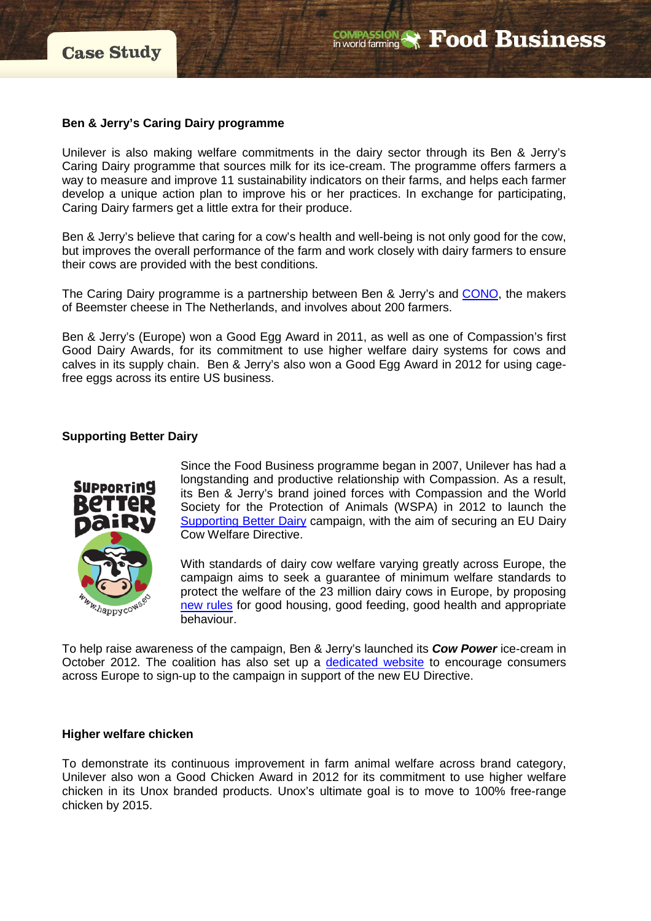# **Ben & Jerry's Caring Dairy programme**

Unilever is also making welfare commitments in the dairy sector through its Ben & Jerry's Caring Dairy programme that sources milk for its ice-cream. The programme offers farmers a way to measure and improve 11 sustainability indicators on their farms, and helps each farmer develop a unique action plan to improve his or her practices. In exchange for participating, Caring Dairy farmers get a little extra for their produce.

Ben & Jerry's believe that caring for a cow's health and well-being is not only good for the cow, but improves the overall performance of the farm and work closely with dairy farmers to ensure their cows are provided with the best conditions.

The Caring Dairy programme is a partnership between Ben & Jerry's and [CONO,](http://www.cono.nl/) the makers of Beemster cheese in The Netherlands, and involves about 200 farmers.

Ben & Jerry's (Europe) won a Good Egg Award in 2011, as well as one of Compassion's first Good Dairy Awards, for its commitment to use higher welfare dairy systems for cows and calves in its supply chain. Ben & Jerry's also won a Good Egg Award in 2012 for using cagefree eggs across its entire US business.

# **Supporting Better Dairy**



Since the Food Business programme began in 2007, Unilever has had a longstanding and productive relationship with Compassion. As a result, its Ben & Jerry's brand joined forces with Compassion and the World Society for the Protection of Animals (WSPA) in 2012 to launch the [Supporting Better Dairy](http://www.happycows.eu/) campaign, with the aim of securing an EU Dairy Cow Welfare Directive.

With standards of dairy cow welfare varying greatly across Europe, the campaign aims to seek a guarantee of minimum welfare standards to protect the welfare of the 23 million dairy cows in Europe, by proposing [new rules](http://www.happycows.eu/documents/EU_Directive_EN.pdf) for good housing, good feeding, good health and appropriate behaviour.

To help raise awareness of the campaign, Ben & Jerry's launched its *Cow Power* ice-cream in October 2012. The coalition has also set up a [dedicated website](http://www.happycows.eu/) to encourage consumers across Europe to sign-up to the campaign in support of the new EU Directive.

# **Higher welfare chicken**

To demonstrate its continuous improvement in farm animal welfare across brand category, Unilever also won a Good Chicken Award in 2012 for its commitment to use higher welfare chicken in its Unox branded products. Unox's ultimate goal is to move to 100% free-range chicken by 2015.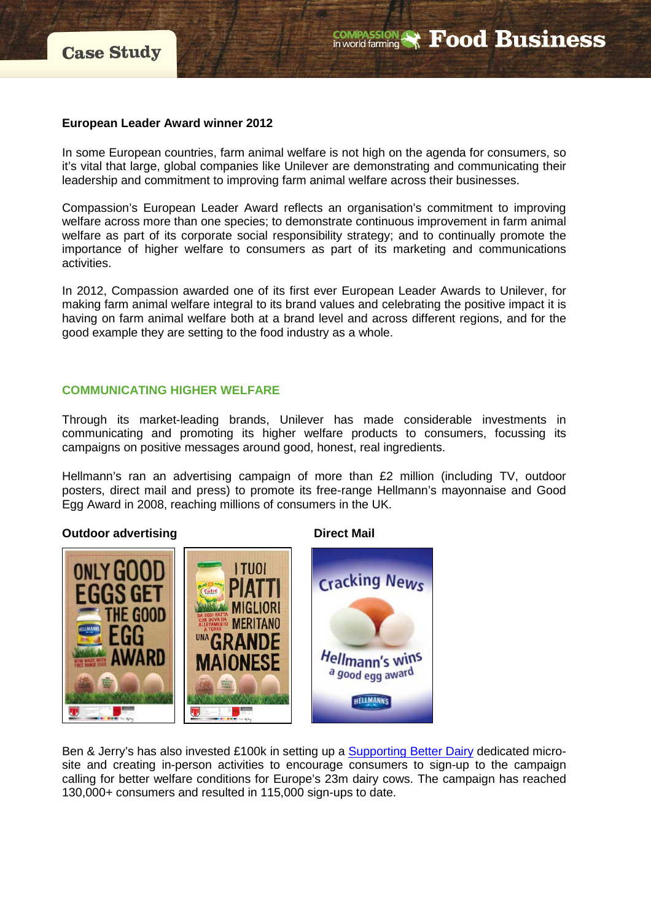## **European Leader Award winner 2012**

In some European countries, farm animal welfare is not high on the agenda for consumers, so it's vital that large, global companies like Unilever are demonstrating and communicating their leadership and commitment to improving farm animal welfare across their businesses.

Compassion's European Leader Award reflects an organisation's commitment to improving welfare across more than one species; to demonstrate continuous improvement in farm animal welfare as part of its corporate social responsibility strategy; and to continually promote the importance of higher welfare to consumers as part of its marketing and communications activities.

In 2012, Compassion awarded one of its first ever European Leader Awards to Unilever, for making farm animal welfare integral to its brand values and celebrating the positive impact it is having on farm animal welfare both at a brand level and across different regions, and for the good example they are setting to the food industry as a whole.

## **COMMUNICATING HIGHER WELFARE**

Through its market-leading brands, Unilever has made considerable investments in communicating and promoting its higher welfare products to consumers, focussing its campaigns on positive messages around good, honest, real ingredients.

Hellmann's ran an advertising campaign of more than £2 million (including TV, outdoor posters, direct mail and press) to promote its free-range Hellmann's mayonnaise and Good Egg Award in 2008, reaching millions of consumers in the UK.

# **Outdoor advertising by Direct Mail**



Ben & Jerry's has also invested £100k in setting up a [Supporting Better Dairy](http://www.happycows.eu/sign) dedicated microsite and creating in-person activities to encourage consumers to sign-up to the campaign calling for better welfare conditions for Europe's 23m dairy cows. The campaign has reached 130,000+ consumers and resulted in 115,000 sign-ups to date.